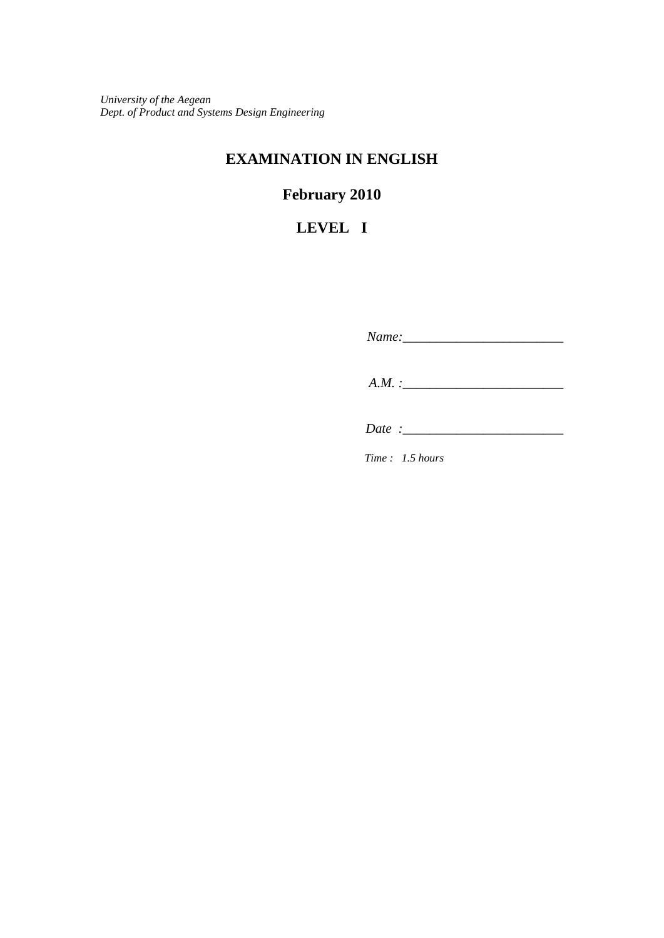*University of the Aegean Dept. of Product and Systems Design Engineering*

### **EXAMINATION IN ENGLISH**

# **February 2010**

## **LEVEL I**

 *Name:\_\_\_\_\_\_\_\_\_\_\_\_\_\_\_\_\_\_\_\_\_\_\_\_ A.M. :\_\_\_\_\_\_\_\_\_\_\_\_\_\_\_\_\_\_\_\_\_\_\_\_* 

 *Date :\_\_\_\_\_\_\_\_\_\_\_\_\_\_\_\_\_\_\_\_\_\_\_\_*

*Time : 1.5 hours*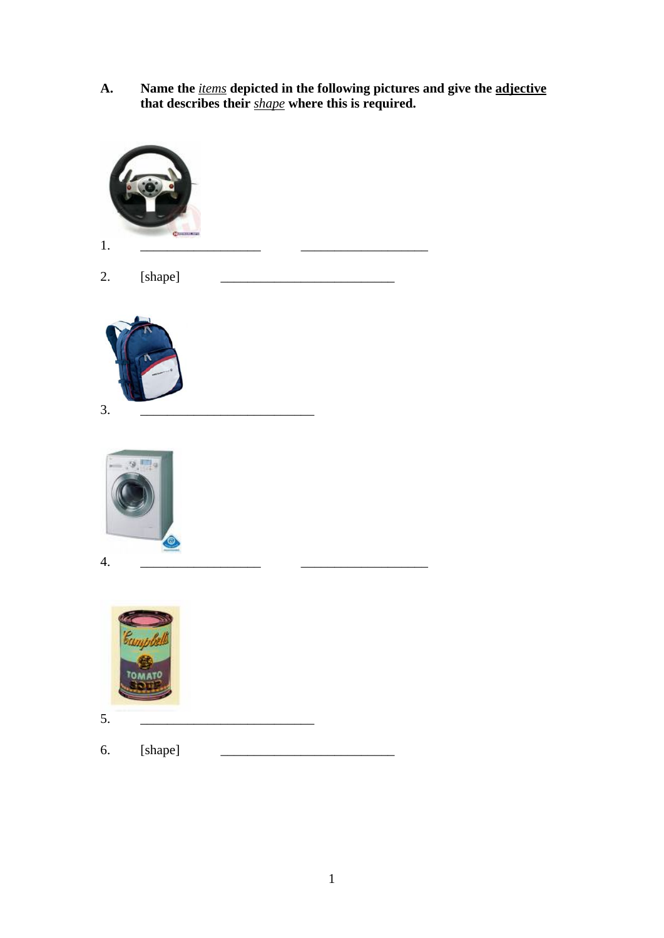**A. Name the** *items* **depicted in the following pictures and give the adjective that describes their** *shape* **where this is required.** 

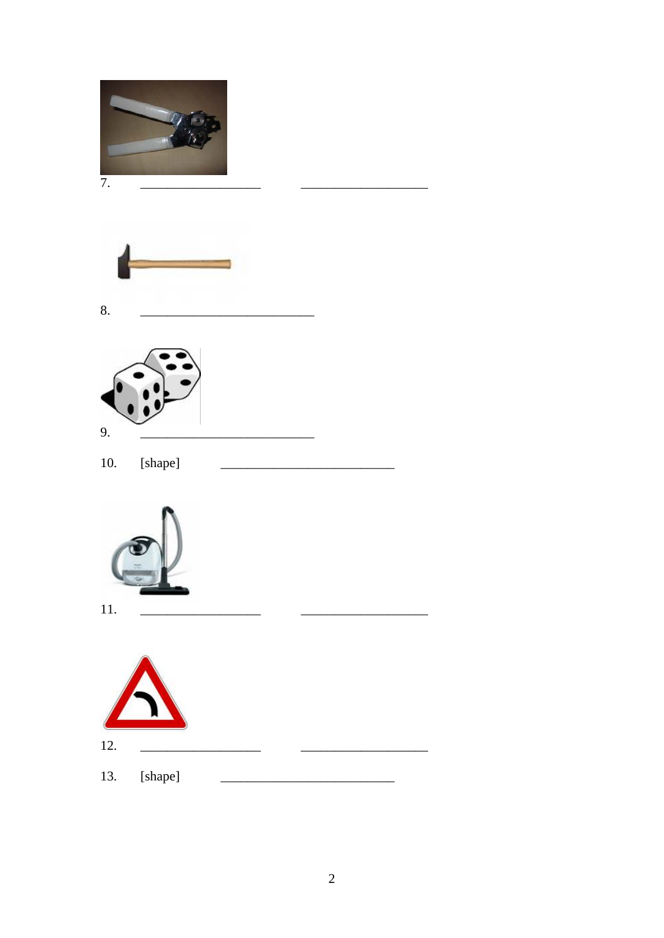









 $11.$ 

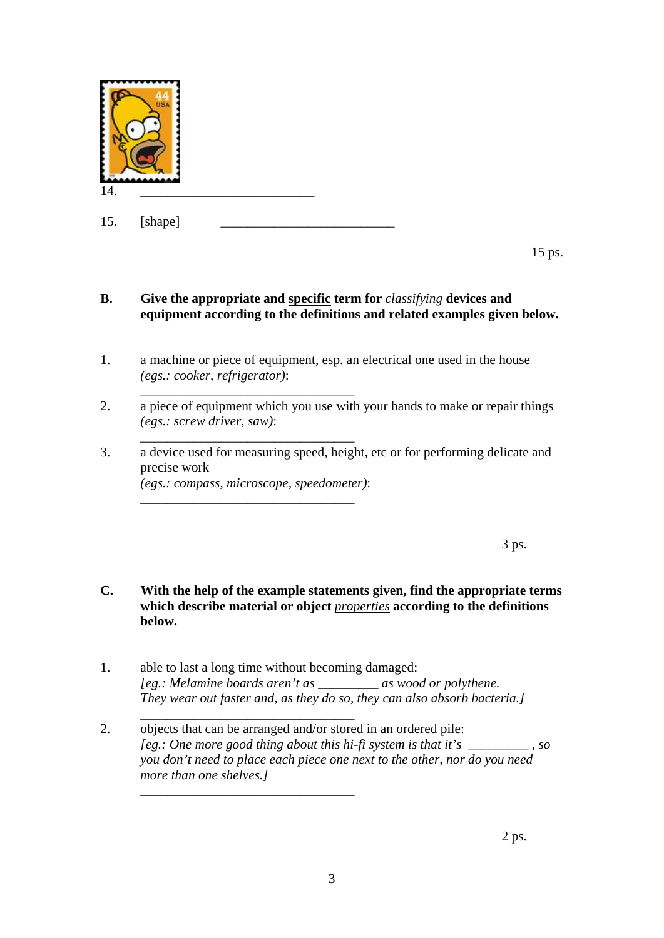

\_\_\_\_\_\_\_\_\_\_\_\_\_\_\_\_\_\_\_\_\_\_\_\_\_\_\_\_\_\_\_\_

\_\_\_\_\_\_\_\_\_\_\_\_\_\_\_\_\_\_\_\_\_\_\_\_\_\_\_\_\_\_\_\_

\_\_\_\_\_\_\_\_\_\_\_\_\_\_\_\_\_\_\_\_\_\_\_\_\_\_\_\_\_\_\_\_

\_\_\_\_\_\_\_\_\_\_\_\_\_\_\_\_\_\_\_\_\_\_\_\_\_\_\_\_\_\_\_\_

15 ps.

#### **B. Give the appropriate and specific term for** *classifying* **devices and equipment according to the definitions and related examples given below.**

- 1. a machine or piece of equipment, esp. an electrical one used in the house  *(egs.: cooker, refrigerator)*:
- 2. a piece of equipment which you use with your hands to make or repair things  *(egs.: screw driver, saw)*:
- 3. a device used for measuring speed, height, etc or for performing delicate and precise work  *(egs.: compass, microscope, speedometer)*:

 $3 \text{ ps.}$ 

- **C. With the help of the example statements given, find the appropriate terms which describe material or object** *properties* **according to the definitions below.**
- 1. able to last a long time without becoming damaged:  *[eg.: Melamine boards aren't as \_\_\_\_\_\_\_\_\_ as wood or polythene. They wear out faster and, as they do so, they can also absorb bacteria.]*
- 2. objects that can be arranged and/or stored in an ordered pile: *[eg.: One more good thing about this hi-fi system is that it's \_\_\_\_\_\_\_\_\_ , so you don't need to place each piece one next to the other, nor do you need more than one shelves.]*  \_\_\_\_\_\_\_\_\_\_\_\_\_\_\_\_\_\_\_\_\_\_\_\_\_\_\_\_\_\_\_\_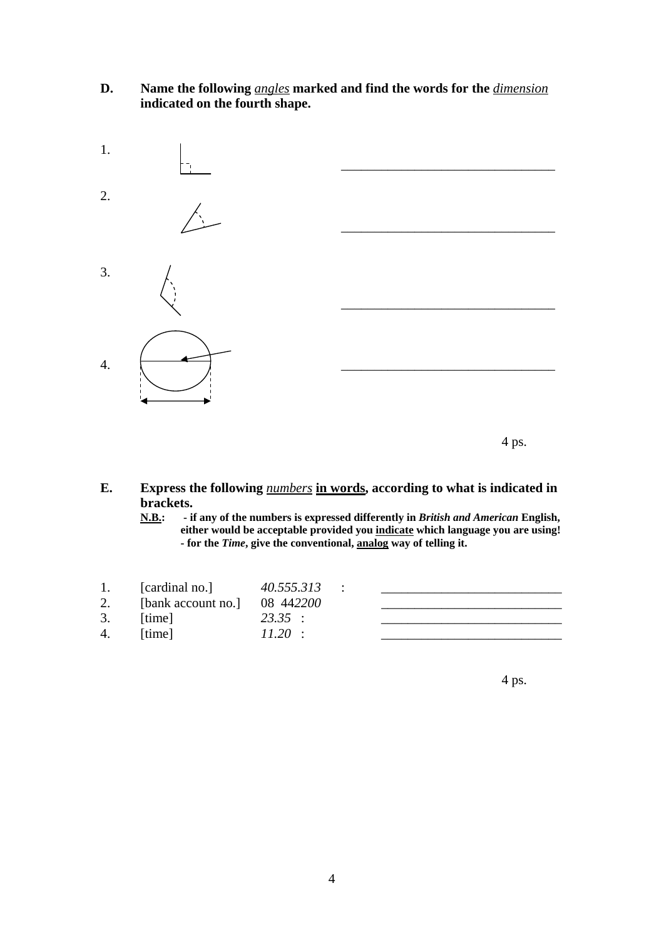#### **D. Name the following** *angles* **marked and find the words for the** *dimension*  **indicated on the fourth shape.**



**E. Express the following** *numbers* **in words, according to what is indicated in brackets.** 

**N.B.: - if any of the numbers is expressed differently in** *British and American* **English, either would be acceptable provided you indicate which language you are using! - for the** *Time***, give the conventional, analog way of telling it.** 

| 1. | [cardinal no.]     | 40.555.313 |  |
|----|--------------------|------------|--|
| 2. | [bank account no.] | 08 442200  |  |
| 3. | [time]             | 23.35:     |  |
| 4. | [time]             | $11.20$ :  |  |
|    |                    |            |  |

 $4 \text{ ps.}$